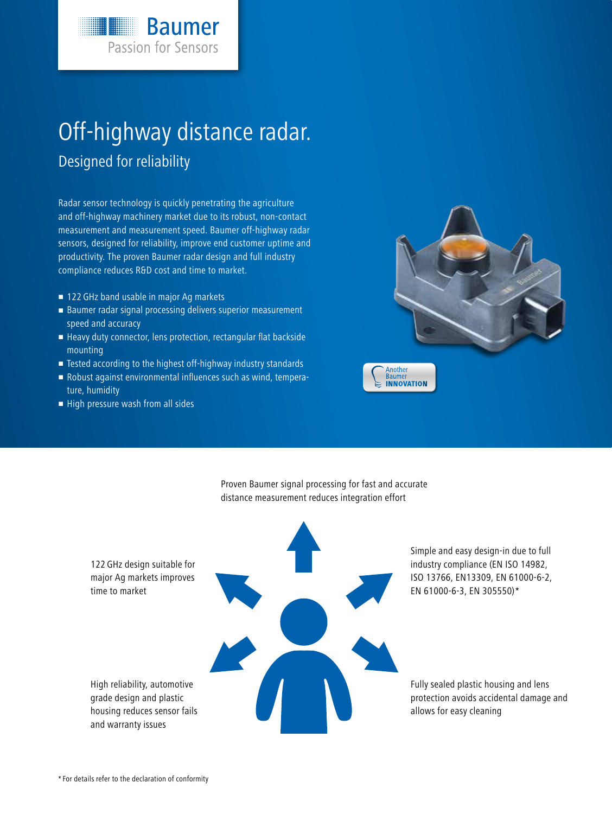# Off-highway distance radar.

**Baumer** 

Passion for Sensors

### Designed for reliability

Radar sensor technology is quickly penetrating the agriculture and off-highway machinery market due to its robust, non-contact measurement and measurement speed. Baumer off-highway radar sensors, designed for reliability, improve end customer uptime and productivity. The proven Baumer radar design and full industry compliance reduces R&D cost and time to market.

- 122 GHz band usable in major Ag markets
- Baumer radar signal processing delivers superior measurement speed and accuracy
- Heavy duty connector, lens protection, rectangular flat backside mounting
- Tested according to the highest off-highway industry standards
- Robust against environmental influences such as wind, temperature, humidity
- High pressure wash from all sides



Proven Baumer signal processing for fast and accurate distance measurement reduces integration effort

122 GHz design suitable for major Ag markets improves time to market

High reliability, automotive grade design and plastic housing reduces sensor fails and warranty issues

Simple and easy design-in due to full industry compliance (EN ISO 14982, ISO 13766, EN13309, EN 61000-6-2, EN 61000-6-3, EN 305550)\*

Fully sealed plastic housing and lens protection avoids accidental damage and allows for easy cleaning